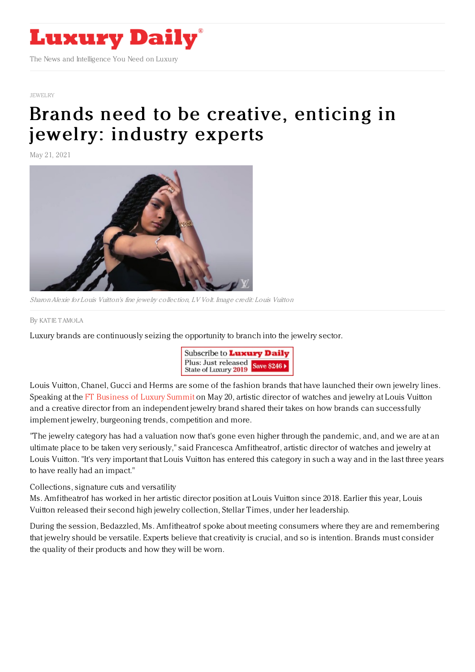

## [JEWELRY](https://www.luxurydaily.com/category/sectors/jewelry/)

## Brands need to be [creative,](https://www.luxurydaily.com/?p=329684) enticing in jewelry: industry experts

May 21, 2021



Sharon Alexie for Louis Vuitton's fine jewelry collection, LV Volt. Image credit: Louis Vuitton

By KAT IE [TAMOLA](file:///author/katie-tamola)

Luxury brands are continuously seizing the opportunity to branch into the jewelry sector.



Louis Vuitton, Chanel, Gucci and Herms are some of the fashion brands that have launched their own jewelry lines. Speaking at the FT [Business](https://luxuryglobal.live.ft.com/) of Luxury Summit on May 20, artistic director of watches and jewelry at Louis Vuitton and a creative director from an independent jewelry brand shared their takes on how brands can successfully implement jewelry, burgeoning trends, competition and more.

"The jewelry category has had a valuation now that's gone even higher through the pandemic, and, and we are at an ultimate place to be taken very seriously," said Francesca Amfitheatrof, artistic director of watches and jewelry at Louis Vuitton. "It's very important that Louis Vuitton has entered this category in such a way and in the last three years to have really had an impact."

Collections, signature cuts and versatility

Ms. Amfitheatrof has worked in her artistic director position at Louis Vuitton since 2018. Earlier this year, Louis Vuitton released their second high jewelry collection, Stellar Times, under her leadership.

During the session, Bedazzled, Ms. Amfitheatrof spoke about meeting consumers where they are and remembering that jewelry should be versatile. Experts believe that creativity is crucial, and so is intention. Brands must consider the quality of their products and how they will be worn.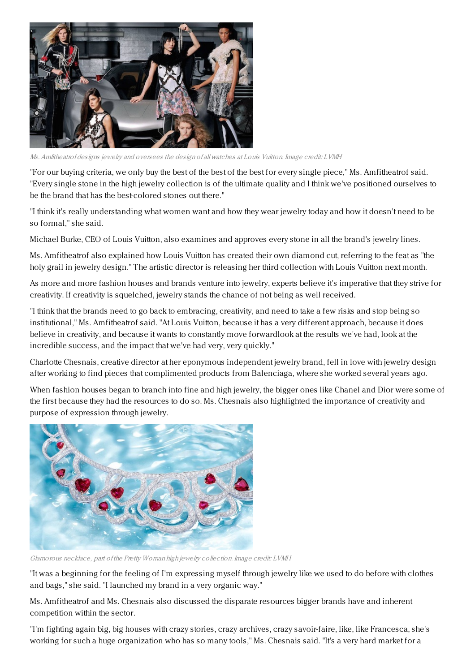

Ms. Amfitheatrof designs jewelry and oversees the design of all watches at Louis Vuitton. Image credit: LVMH

"For our buying criteria, we only buy the best of the best of the best for every single piece," Ms. Amfitheatrof said. "Every single stone in the high jewelry collection is of the ultimate quality and I think we've positioned ourselves to be the brand that has the best-colored stones out there."

"I think it's really understanding what women want and how they wear jewelry today and how it doesn't need to be so formal," she said.

Michael Burke, CEO of Louis Vuitton, also examines and approves every stone in all the brand's jewelry lines.

Ms. Amfitheatrof also explained how Louis Vuitton has created their own diamond cut, referring to the feat as "the holy grail in jewelry design." The artistic director is releasing her third collection with Louis Vuitton next month.

As more and more fashion houses and brands venture into jewelry, experts believe it's imperative that they strive for creativity. If creativity is squelched, jewelry stands the chance of not being as well received.

"I think that the brands need to go back to embracing, creativity, and need to take a few risks and stop being so institutional," Ms. Amfitheatrof said. "At Louis Vuitton, because it has a very different approach, because it does believe in creativity, and because it wants to constantly move forwardlook at the results we've had, look at the incredible success, and the impact that we've had very, very quickly."

Charlotte Chesnais, creative director at her eponymous independent jewelry brand, fell in love with jewelry design after working to find pieces that complimented products from Balenciaga, where she worked several years ago.

When fashion houses began to branch into fine and high jewelry, the bigger ones like Chanel and Dior were some of the first because they had the resources to do so. Ms. Chesnais also highlighted the importance of creativity and purpose of expression through jewelry.



Glamorous necklace, part of the Pretty Woman high jewelry collection. Image credit: LVMH

"It was a beginning for the feeling of I'm expressing myself through jewelry like we used to do before with clothes and bags," she said. "I launched my brand in a very organic way."

Ms. Amfitheatrof and Ms. Chesnais also discussed the disparate resources bigger brands have and inherent competition within the sector.

"I'm fighting again big, big houses with crazy stories, crazy archives, crazy savoir-faire, like, like Francesca, she's working for such a huge organization who has so many tools," Ms. Chesnais said. "It's a very hard market for a